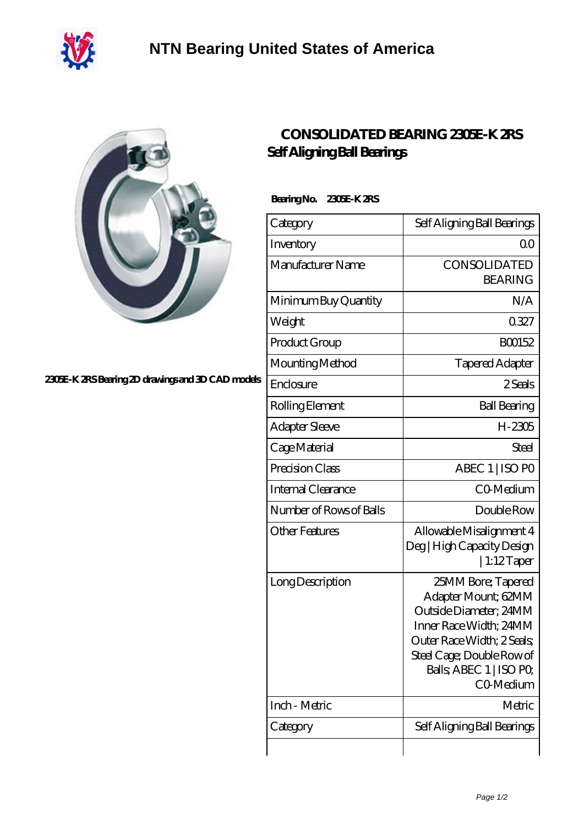



## **[2305E-K 2RS Bearing 2D drawings and 3D CAD models](https://m.40ozbounce-tube.net/pic-266835.html)**

## **[CONSOLIDATED BEARING 2305E-K 2RS](https://m.40ozbounce-tube.net/ar-266835-consolidated-bearing-2305e-k-2rs-self-aligning-ball-bearings.html) [Self Aligning Ball Bearings](https://m.40ozbounce-tube.net/ar-266835-consolidated-bearing-2305e-k-2rs-self-aligning-ball-bearings.html)**

 **Bearing No. 2305E-K 2RS**

| Category                  | Self Aligning Ball Bearings                                                                                                                                                                      |
|---------------------------|--------------------------------------------------------------------------------------------------------------------------------------------------------------------------------------------------|
| Inventory                 | Q0                                                                                                                                                                                               |
| Manufacturer Name         | CONSOLIDATED<br><b>BEARING</b>                                                                                                                                                                   |
| Minimum Buy Quantity      | N/A                                                                                                                                                                                              |
| Weight                    | 0327                                                                                                                                                                                             |
| Product Group             | BO0152                                                                                                                                                                                           |
| Mounting Method           | <b>Tapered Adapter</b>                                                                                                                                                                           |
| Enclosure                 | 2 Seals                                                                                                                                                                                          |
| Rolling Element           | <b>Ball Bearing</b>                                                                                                                                                                              |
| <b>Adapter Sleeve</b>     | H-2305                                                                                                                                                                                           |
| Cage Material             | <b>Steel</b>                                                                                                                                                                                     |
| Precision Class           | ABEC 1   ISO PO                                                                                                                                                                                  |
| <b>Internal Clearance</b> | CO-Medium                                                                                                                                                                                        |
| Number of Rows of Balls   | Double Row                                                                                                                                                                                       |
| <b>Other Features</b>     | Allowable Misalignment 4<br>Deg   High Capacity Design<br>  1:12 $T$ aper                                                                                                                        |
| Long Description          | 25MM Bore; Tapered<br>Adapter Mount; 62MM<br>Outside Diameter; 24MM<br>Inner Race Width; 24MM<br>Outer Race Width; 2 Seals;<br>Steel Cage; Double Row of<br>Balls, ABEC 1   ISO PO,<br>CO-Medium |
| Inch - Metric             | Metric                                                                                                                                                                                           |
| Category                  | Self Aligning Ball Bearings                                                                                                                                                                      |
|                           |                                                                                                                                                                                                  |